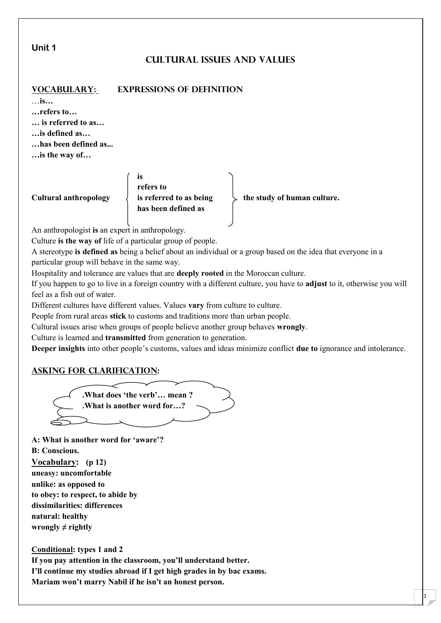#### **Unit 1**

# **Cultural Issues and Values**

## **Vocabulary: Expressions of definition**

…**is…**

**…refers to…**

**… is referred to as…**

**…is defined as…**

**…has been defined as...**

**…is the way of…**

**is refers to has been defined as**

**Cultural anthropology**  $\downarrow$  **is referred to as being**  $\downarrow$  **the study of human culture.** 

1

An anthropologist **is** an expert in anthropology.

Culture **is the way of** life of a particular group of people.

A stereotype **is defined as** being a belief about an individual or a group based on the idea that everyone in a particular group will behave in the same way.

Hospitality and tolerance are values that are **deeply rooted** in the Moroccan culture.

If you happen to go to live in a foreign country with a different culture, you have to **adjust** to it, otherwise you will feel as a fish out of water.

Different cultures have different values. Values **vary** from culture to culture.

People from rural areas **stick** to customs and traditions more than urban people.

Cultural issues arise when groups of people believe another group behaves **wrongly**.

Culture is learned and **transmitted** from generation to generation.

**Deeper insights** into other people's customs, values and ideas minimize conflict **due to** ignorance and intolerance.

## **Asking for clarification:**



**A: What is another word for 'aware'? B: Conscious. Vocabulary: (p 12) uneasy: uncomfortable unlike: as opposed to to obey: to respect, to abide by dissimilarities: differences natural: healthy wrongly**  $\neq$  **rightly** 

**Conditional: types 1 and 2**

**If you pay attention in the classroom, you'll understand better. I'll continue my studies abroad if I get high grades in by bac exams. Mariam won't marry Nabil if he isn't an honest person.**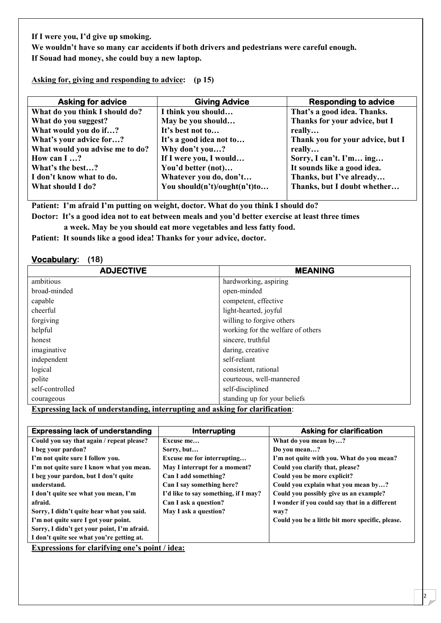**If I were you, I'd give up smoking.**

**We wouldn't have so many car accidents if both drivers and pedestrians were careful enough. If Souad had money, she could buy a new laptop.**

**Asking for, giving and responding to advice: (p 15)**

| <b>Asking for advice</b>        | <b>Giving Advice</b>         | <b>Responding to advice</b>      |
|---------------------------------|------------------------------|----------------------------------|
| What do you think I should do?  | I think you should           | That's a good idea. Thanks.      |
| What do you suggest?            | May be you should            | Thanks for your advice, but I    |
| What would you do if?           | It's best not to             | really                           |
| What's your advice for?         | It's a good idea not to      | Thank you for your advice, but I |
| What would you advise me to do? | Why don't you?               | really                           |
| How can I ?                     | If I were you, I would       | Sorry, I can't. I'm ing          |
| What's the best?                | You'd better (not)           | It sounds like a good idea.      |
| I don't know what to do.        | Whatever you do, don't       | Thanks, but I've already         |
| What should I do?               | You should(n't)/ought(n't)to | Thanks, but I doubt whether      |
|                                 |                              |                                  |

**Patient: I'm afraid I'm putting on weight, doctor. What do you think I should do?**

**Doctor: It's a good idea not to eat between meals and you'd better exercise at least three times**

**a week. May be you should eat more vegetables and less fatty food.**

**Patient: It sounds like a good idea! Thanks for your advice, doctor.**

#### **Vocabulary: (18)**

| <b>ADJECTIVE</b> | <b>MEANING</b>                    |
|------------------|-----------------------------------|
| ambitious        | hardworking, aspiring             |
| broad-minded     | open-minded                       |
| capable          | competent, effective              |
| cheerful         | light-hearted, joyful             |
| forgiving        | willing to forgive others         |
| helpful          | working for the welfare of others |
| honest           | sincere, truthful                 |
| imaginative      | daring, creative                  |
| independent      | self-reliant                      |
| logical          | consistent, rational              |
| polite           | courteous, well-mannered          |
| self-controlled  | self-disciplined                  |
| courageous       | standing up for your beliefs      |

**Expressing lack of understanding, interrupting and asking for clarification**:

| <b>Expressing lack of understanding</b>     | Interrupting                         | <b>Asking for clarification</b>                  |
|---------------------------------------------|--------------------------------------|--------------------------------------------------|
| Could you say that again / repeat please?   | Excuse me                            | What do you mean by?                             |
| I beg your pardon?                          | Sorry, but                           | Do you mean?                                     |
| I'm not quite sure I follow you.            | Excuse me for interrupting           | I'm not quite with you. What do you mean?        |
| I'm not quite sure I know what you mean.    | May I interrupt for a moment?        | Could you clarify that, please?                  |
| I beg your pardon, but I don't quite        | Can I add something?                 | Could you be more explicit?                      |
| understand.                                 | Can I say something here?            | Could you explain what you mean by?              |
| I don't quite see what you mean, I'm        | I'd like to say something, if I may? | Could you possibly give us an example?           |
| afraid.                                     | Can I ask a question?                | I wonder if you could say that in a different    |
| Sorry, I didn't quite hear what you said.   | May I ask a question?                | way?                                             |
| I'm not quite sure I got your point.        |                                      | Could you be a little bit more specific, please. |
| Sorry, I didn't get your point, I'm afraid. |                                      |                                                  |
| I don't quite see what you're getting at.   |                                      |                                                  |
|                                             |                                      |                                                  |

**Expressions for clarifying one's point / idea:**